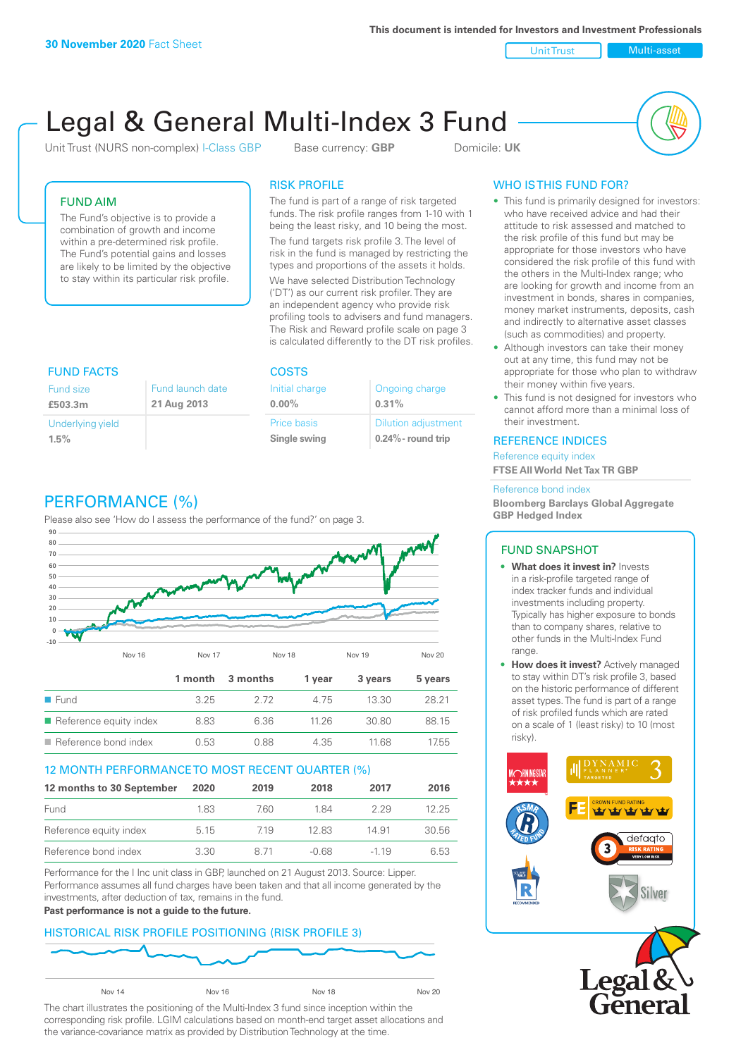**This document is intended for Investors and Investment Professionals**

Unit Trust Nulti-asset

# Legal & General Multi-Index 3 Fund

Unit Trust (NURS non-complex) I-Class GBP Base currency: **GBP** Domicile: UK



# FUND AIM

The Fund's objective is to provide a combination of growth and income within a pre-determined risk profile. The Fund's potential gains and losses are likely to be limited by the objective to stay within its particular risk profile.

### RISK PROFILE

The fund is part of a range of risk targeted funds. The risk profile ranges from 1-10 with 1 being the least risky, and 10 being the most.

The fund targets risk profile 3. The level of risk in the fund is managed by restricting the types and proportions of the assets it holds. We have selected Distribution Technology ('DT') as our current risk profiler. They are an independent agency who provide risk profiling tools to advisers and fund managers. The Risk and Reward profile scale on page 3 is calculated differently to the DT risk profiles.

| <b>FUND FACTS</b> |                  | <b>COSTS</b>   |                            |  |
|-------------------|------------------|----------------|----------------------------|--|
| Fund size         | Fund launch date | Initial charge | Ongoing charge             |  |
| £503.3m           | 21 Aug 2013      | $0.00\%$       | 0.31%                      |  |
| Underlying yield  |                  | Price basis    | <b>Dilution adjustment</b> |  |
| 1.5%              |                  | Single swing   | $0.24\%$ - round trip      |  |

# PERFORMANCE (%)

Please also see 'How do I assess the performance of the fund?' on page 3.



## 12 MONTH PERFORMANCE TO MOST RECENT QUARTER (%)

| 12 months to 30 September | 2020 | 2019 | 2018    | 2017   | 2016  |
|---------------------------|------|------|---------|--------|-------|
| Fund                      | 183  | 7.60 | 184     | 229    | 12.25 |
| Reference equity index    | 5.15 | 719  | 1283    | 14.91  | 30.56 |
| Reference bond index      | 3.30 | 8.71 | $-0.68$ | $-119$ | 6.53  |

Performance for the I Inc unit class in GBP, launched on 21 August 2013. Source: Lipper. Performance assumes all fund charges have been taken and that all income generated by the investments, after deduction of tax, remains in the fund.

#### **Past performance is not a guide to the future.**

## HISTORICAL RISK PROFILE POSITIONING (RISK PROFILE 3)



The chart illustrates the positioning of the Multi-Index 3 fund since inception within the corresponding risk profile. LGIM calculations based on month-end target asset allocations and the variance-covariance matrix as provided by Distribution Technology at the time.

# WHO IS THIS FUND FOR?

- This fund is primarily designed for investors: who have received advice and had their attitude to risk assessed and matched to the risk profile of this fund but may be appropriate for those investors who have considered the risk profile of this fund with the others in the Multi-Index range; who are looking for growth and income from an investment in bonds, shares in companies, money market instruments, deposits, cash and indirectly to alternative asset classes (such as commodities) and property.
- Although investors can take their money out at any time, this fund may not be appropriate for those who plan to withdraw their money within five years.
- This fund is not designed for investors who cannot afford more than a minimal loss of their investment.

#### REFERENCE INDICES

Reference equity index **FTSE All World Net Tax TR GBP**

#### Reference bond index

**Bloomberg Barclays Global Aggregate GBP Hedged Index**

#### FUND SNAPSHOT

- **• What does it invest in?** Invests in a risk-profile targeted range of index tracker funds and individual investments including property. Typically has higher exposure to bonds than to company shares, relative to other funds in the Multi-Index Fund range.
- **• How does it invest?** Actively managed to stay within DT's risk profile 3, based on the historic performance of different asset types. The fund is part of a range of risk profiled funds which are rated on a scale of 1 (least risky) to 10 (most risky).



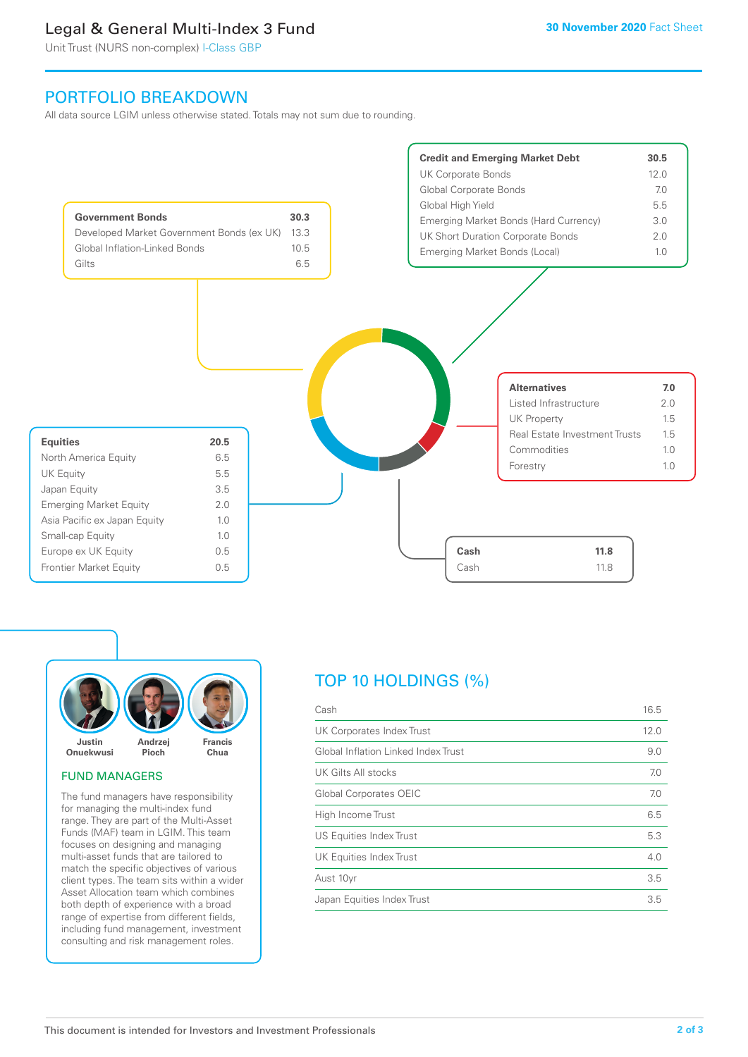# Legal & General Multi-Index 3 Fund

Unit Trust (NURS non-complex) I-Class GBP

# PORTFOLIO BREAKDOWN

All data source LGIM unless otherwise stated. Totals may not sum due to rounding.





#### FUND MANAGERS

The fund managers have responsibility for managing the multi-index fund range. They are part of the Multi-Asset Funds (MAF) team in LGIM. This team focuses on designing and managing multi-asset funds that are tailored to match the specific objectives of various client types. The team sits within a wider Asset Allocation team which combines both depth of experience with a broad range of expertise from different fields, including fund management, investment consulting and risk management roles.

# TOP 10 HOLDINGS (%)

| Cash                                | 16.5 |
|-------------------------------------|------|
| UK Corporates Index Trust           | 12.0 |
| Global Inflation Linked Index Trust | 9.0  |
| UK Gilts All stocks                 | 7.0  |
| Global Corporates OEIC              | 7.0  |
| High Income Trust                   | 6.5  |
| <b>US Equities Index Trust</b>      | 5.3  |
| <b>UK Equities Index Trust</b>      | 4.0  |
| Aust 10yr                           | 3.5  |
| Japan Equities Index Trust          | 3.5  |
|                                     |      |